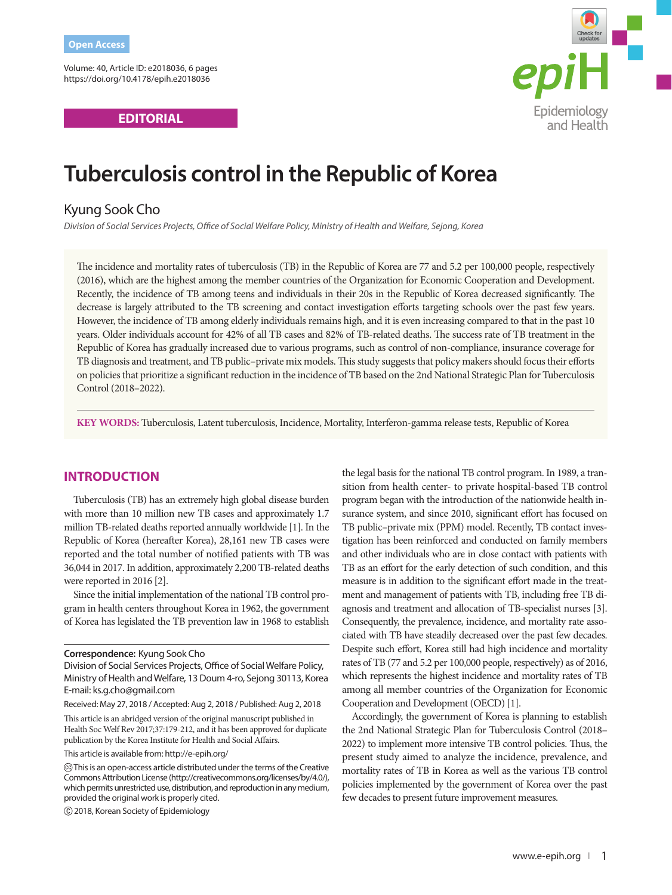Volume: 40, Article ID: e2018036, 6 pages https://doi.org/10.4178/epih.e2018036

**EDITORIAL**



# **Tuberculosis control in the Republic of Korea**

# Kyung Sook Cho

*Division of Social Services Projects, Office of Social Welfare Policy, Ministry of Health and Welfare, Sejong, Korea* 

The incidence and mortality rates of tuberculosis (TB) in the Republic of Korea are 77 and 5.2 per 100,000 people, respectively (2016), which are the highest among the member countries of the Organization for Economic Cooperation and Development. Recently, the incidence of TB among teens and individuals in their 20s in the Republic of Korea decreased significantly. The decrease is largely attributed to the TB screening and contact investigation efforts targeting schools over the past few years. However, the incidence of TB among elderly individuals remains high, and it is even increasing compared to that in the past 10 years. Older individuals account for 42% of all TB cases and 82% of TB-related deaths. The success rate of TB treatment in the Republic of Korea has gradually increased due to various programs, such as control of non-compliance, insurance coverage for TB diagnosis and treatment, and TB public–private mix models. This study suggests that policy makers should focus their efforts on policies that prioritize a significant reduction in the incidence of TB based on the 2nd National Strategic Plan for Tuberculosis Control (2018–2022).

**KEY WORDS:** Tuberculosis, Latent tuberculosis, Incidence, Mortality, Interferon-gamma release tests, Republic of Korea

## **INTRODUCTION**

Tuberculosis (TB) has an extremely high global disease burden with more than 10 million new TB cases and approximately 1.7 million TB-related deaths reported annually worldwide [1]. In the Republic of Korea (hereafter Korea), 28,161 new TB cases were reported and the total number of notified patients with TB was 36,044 in 2017. In addition, approximately 2,200 TB-related deaths were reported in 2016 [2].

Since the initial implementation of the national TB control program in health centers throughout Korea in 1962, the government of Korea has legislated the TB prevention law in 1968 to establish

This article is an abridged version of the original manuscript published in Health Soc Welf Rev 2017;37:179-212, and it has been approved for duplicate publication by the Korea Institute for Health and Social Affairs.

This article is available from: http://e-epih.org/

the legal basis for the national TB control program. In 1989, a transition from health center- to private hospital-based TB control program began with the introduction of the nationwide health insurance system, and since 2010, significant effort has focused on TB public–private mix (PPM) model. Recently, TB contact investigation has been reinforced and conducted on family members and other individuals who are in close contact with patients with TB as an effort for the early detection of such condition, and this measure is in addition to the significant effort made in the treatment and management of patients with TB, including free TB diagnosis and treatment and allocation of TB-specialist nurses [3]. Consequently, the prevalence, incidence, and mortality rate associated with TB have steadily decreased over the past few decades. Despite such effort, Korea still had high incidence and mortality rates of TB (77 and 5.2 per 100,000 people, respectively) as of 2016, which represents the highest incidence and mortality rates of TB among all member countries of the Organization for Economic Cooperation and Development (OECD) [1].

Accordingly, the government of Korea is planning to establish the 2nd National Strategic Plan for Tuberculosis Control (2018– 2022) to implement more intensive TB control policies. Thus, the present study aimed to analyze the incidence, prevalence, and mortality rates of TB in Korea as well as the various TB control policies implemented by the government of Korea over the past few decades to present future improvement measures.

**Correspondence:** Kyung Sook Cho

Division of Social Services Projects, Office of Social Welfare Policy, Ministry of Health and Welfare, 13 Doum 4-ro, Sejong 30113, Korea E-mail: ks.g.cho@gmail.com

Received: May 27, 2018 / Accepted: Aug 2, 2018 / Published: Aug 2, 2018

This is an open-access article distributed under the terms of the Creative Commons Attribution License (http://creativecommons.org/licenses/by/4.0/), which permits unrestricted use, distribution, and reproduction in any medium, provided the original work is properly cited.

 <sup>2018,</sup> Korean Society of Epidemiology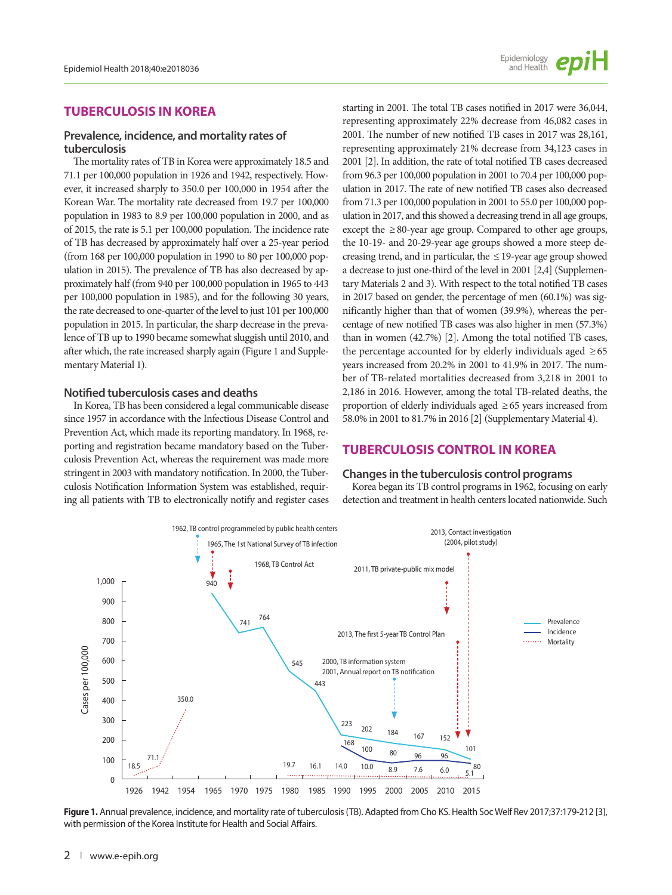## **TUBERCULOSIS IN KOREA**

#### **Prevalence, incidence, and mortality rates of tuberculosis**

The mortality rates of TB in Korea were approximately 18.5 and 71.1 per 100,000 population in 1926 and 1942, respectively. However, it increased sharply to 350.0 per 100,000 in 1954 after the Korean War. The mortality rate decreased from 19.7 per 100,000 population in 1983 to 8.9 per 100,000 population in 2000, and as of 2015, the rate is 5.1 per 100,000 population. The incidence rate of TB has decreased by approximately half over a 25-year period (from 168 per 100,000 population in 1990 to 80 per 100,000 population in 2015). The prevalence of TB has also decreased by approximately half (from 940 per 100,000 population in 1965 to 443 per 100,000 population in 1985), and for the following 30 years, the rate decreased to one-quarter of the level to just 101 per 100,000 population in 2015. In particular, the sharp decrease in the prevalence of TB up to 1990 became somewhat sluggish until 2010, and after which, the rate increased sharply again (Figure 1 and Supplementary Material 1).

#### **Notified tuberculosis cases and deaths**

In Korea, TB has been considered a legal communicable disease since 1957 in accordance with the Infectious Disease Control and Prevention Act, which made its reporting mandatory. In 1968, reporting and registration became mandatory based on the Tuberculosis Prevention Act, whereas the requirement was made more stringent in 2003 with mandatory notification. In 2000, the Tuberculosis Notification Information System was established, requiring all patients with TB to electronically notify and register cases starting in 2001. The total TB cases notified in 2017 were 36,044, representing approximately 22% decrease from 46,082 cases in 2001. The number of new notified TB cases in 2017 was 28,161, representing approximately 21% decrease from 34,123 cases in 2001 [2]. In addition, the rate of total notified TB cases decreased from 96.3 per 100,000 population in 2001 to 70.4 per 100,000 population in 2017. The rate of new notified TB cases also decreased from 71.3 per 100,000 population in 2001 to 55.0 per 100,000 population in 2017, and this showed a decreasing trend in all age groups, except the  $\geq 80$ -year age group. Compared to other age groups, the 10-19- and 20-29-year age groups showed a more steep decreasing trend, and in particular, the  $\leq$  19-year age group showed a decrease to just one-third of the level in 2001 [2,4] (Supplementary Materials 2 and 3). With respect to the total notified TB cases in 2017 based on gender, the percentage of men (60.1%) was significantly higher than that of women (39.9%), whereas the percentage of new notified TB cases was also higher in men (57.3%) than in women (42.7%) [2]. Among the total notified TB cases, the percentage accounted for by elderly individuals aged  $\geq 65$ years increased from 20.2% in 2001 to 41.9% in 2017. The number of TB-related mortalities decreased from 3,218 in 2001 to 2,186 in 2016. However, among the total TB-related deaths, the proportion of elderly individuals aged ≥ 65 years increased from 58.0% in 2001 to 81.7% in 2016 [2] (Supplementary Material 4).

## **TUBERCULOSIS CONTROL IN KOREA**

#### **Changes in the tuberculosis control programs**

Korea began its TB control programs in 1962, focusing on early detection and treatment in health centers located nationwide. Such



**Figure 1.** Annual prevalence, incidence, and mortality rate of tuberculosis (TB). Adapted from Cho KS. Health Soc Welf Rev 2017;37:179-212 [3], with permission of the Korea Institute for Health and Social Affairs.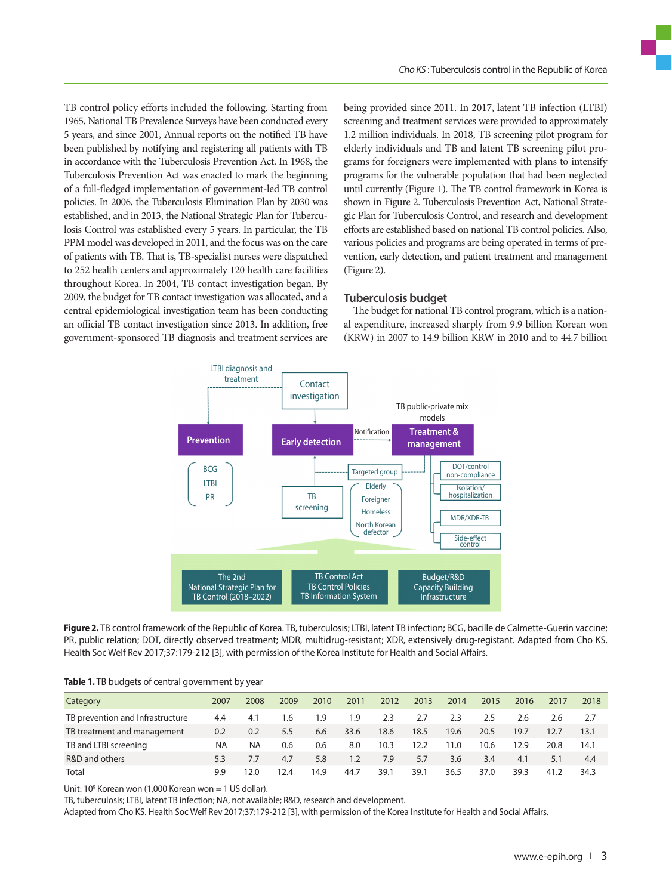TB control policy efforts included the following. Starting from 1965, National TB Prevalence Surveys have been conducted every 5 years, and since 2001, Annual reports on the notified TB have been published by notifying and registering all patients with TB in accordance with the Tuberculosis Prevention Act. In 1968, the Tuberculosis Prevention Act was enacted to mark the beginning of a full-fledged implementation of government-led TB control policies. In 2006, the Tuberculosis Elimination Plan by 2030 was established, and in 2013, the National Strategic Plan for Tuberculosis Control was established every 5 years. In particular, the TB PPM model was developed in 2011, and the focus was on the care of patients with TB. That is, TB-specialist nurses were dispatched to 252 health centers and approximately 120 health care facilities throughout Korea. In 2004, TB contact investigation began. By 2009, the budget for TB contact investigation was allocated, and a central epidemiological investigation team has been conducting an official TB contact investigation since 2013. In addition, free government-sponsored TB diagnosis and treatment services are being provided since 2011. In 2017, latent TB infection (LTBI) screening and treatment services were provided to approximately 1.2 million individuals. In 2018, TB screening pilot program for elderly individuals and TB and latent TB screening pilot programs for foreigners were implemented with plans to intensify programs for the vulnerable population that had been neglected until currently (Figure 1). The TB control framework in Korea is shown in Figure 2. Tuberculosis Prevention Act, National Strategic Plan for Tuberculosis Control, and research and development efforts are established based on national TB control policies. Also, various policies and programs are being operated in terms of prevention, early detection, and patient treatment and management (Figure 2).

#### **Tuberculosis budget**

The budget for national TB control program, which is a national expenditure, increased sharply from 9.9 billion Korean won (KRW) in 2007 to 14.9 billion KRW in 2010 and to 44.7 billion



**Figure 2.** TB control framework of the Republic of Korea. TB, tuberculosis; LTBI, latent TB infection; BCG, bacille de Calmette-Guerin vaccine; PR, public relation; DOT, directly observed treatment; MDR, multidrug-resistant; XDR, extensively drug-registant. Adapted from Cho KS. Health Soc Welf Rev 2017;37:179-212 [3], with permission of the Korea Institute for Health and Social Affairs.

|  |  |  |  |  |  | Table 1. TB budgets of central government by year |  |
|--|--|--|--|--|--|---------------------------------------------------|--|
|--|--|--|--|--|--|---------------------------------------------------|--|

| Category                         | 2007 | 2008 | 2009 | 2010 | 2011 | 2012 | 2013 | 2014 | 2015 | 2016 | 2017 | 2018 |
|----------------------------------|------|------|------|------|------|------|------|------|------|------|------|------|
| TB prevention and Infrastructure | 4.4  | 4.1  | 1.6  | 1.9  | 1.9  | 2.3  | 2.7  | 2.3  | 2.5  | 2.6  | 2.6  | 2.7  |
| TB treatment and management      | 0.2  | 0.2  | 5.5  | 6.6  | 33.6 | 18.6 | 18.5 | 19.6 | 20.5 | 19.7 | 12.7 | 13.1 |
| TB and LTBI screening            | NA   | ΝA   | 0.6  | 0.6  | 8.0  | 10.3 | 12.2 | 11.0 | 10.6 | 12.9 | 20.8 | 14.1 |
| R&D and others                   | 5.3  | 7.7  | 4.7  | 5.8  | 1.2  | 7.9  | 5.7  | 3.6  | 3.4  | 4.1  | 5.1  | 4.4  |
| Total                            | 9.9  | 2.0  | 12.4 | 14.9 | 44.7 | 39.1 | 39.1 | 36.5 | 37.0 | 39.3 | 41.2 | 34.3 |

Unit: 10<sup>9</sup> Korean won (1,000 Korean won = 1 US dollar).

TB, tuberculosis; LTBI, latent TB infection; NA, not available; R&D, research and development.

Adapted from Cho KS. Health Soc Welf Rev 2017;37:179-212 [3], with permission of the Korea Institute for Health and Social Affairs.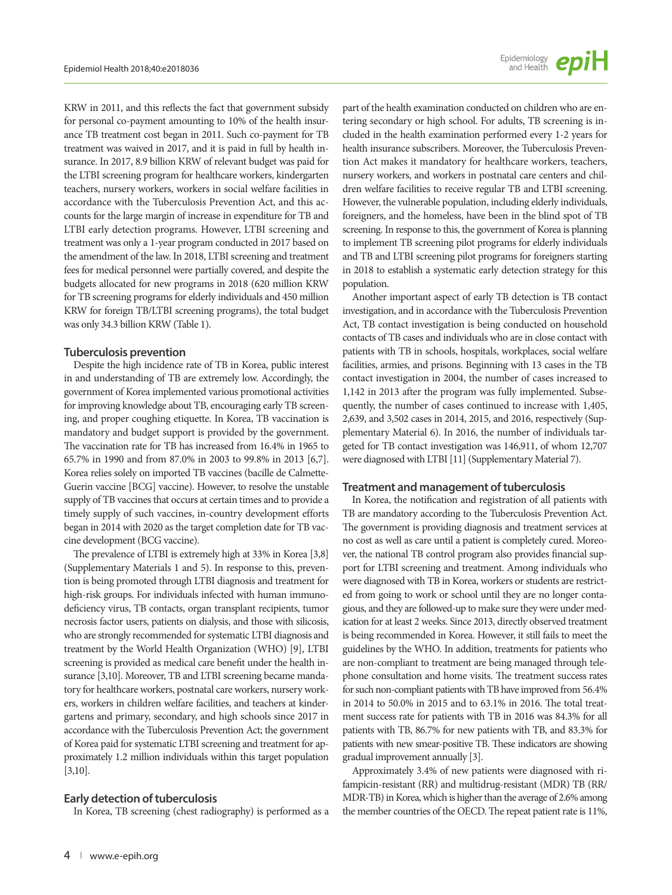KRW in 2011, and this reflects the fact that government subsidy for personal co-payment amounting to 10% of the health insurance TB treatment cost began in 2011. Such co-payment for TB treatment was waived in 2017, and it is paid in full by health insurance. In 2017, 8.9 billion KRW of relevant budget was paid for the LTBI screening program for healthcare workers, kindergarten teachers, nursery workers, workers in social welfare facilities in accordance with the Tuberculosis Prevention Act, and this accounts for the large margin of increase in expenditure for TB and LTBI early detection programs. However, LTBI screening and treatment was only a 1-year program conducted in 2017 based on the amendment of the law. In 2018, LTBI screening and treatment fees for medical personnel were partially covered, and despite the budgets allocated for new programs in 2018 (620 million KRW for TB screening programs for elderly individuals and 450 million KRW for foreign TB/LTBI screening programs), the total budget was only 34.3 billion KRW (Table 1).

#### **Tuberculosis prevention**

Despite the high incidence rate of TB in Korea, public interest in and understanding of TB are extremely low. Accordingly, the government of Korea implemented various promotional activities for improving knowledge about TB, encouraging early TB screening, and proper coughing etiquette. In Korea, TB vaccination is mandatory and budget support is provided by the government. The vaccination rate for TB has increased from 16.4% in 1965 to 65.7% in 1990 and from 87.0% in 2003 to 99.8% in 2013 [6,7]. Korea relies solely on imported TB vaccines (bacille de Calmette-Guerin vaccine [BCG] vaccine). However, to resolve the unstable supply of TB vaccines that occurs at certain times and to provide a timely supply of such vaccines, in-country development efforts began in 2014 with 2020 as the target completion date for TB vaccine development (BCG vaccine).

The prevalence of LTBI is extremely high at 33% in Korea [3,8] (Supplementary Materials 1 and 5). In response to this, prevention is being promoted through LTBI diagnosis and treatment for high-risk groups. For individuals infected with human immunodeficiency virus, TB contacts, organ transplant recipients, tumor necrosis factor users, patients on dialysis, and those with silicosis, who are strongly recommended for systematic LTBI diagnosis and treatment by the World Health Organization (WHO) [9], LTBI screening is provided as medical care benefit under the health insurance [3,10]. Moreover, TB and LTBI screening became mandatory for healthcare workers, postnatal care workers, nursery workers, workers in children welfare facilities, and teachers at kindergartens and primary, secondary, and high schools since 2017 in accordance with the Tuberculosis Prevention Act; the government of Korea paid for systematic LTBI screening and treatment for approximately 1.2 million individuals within this target population [3,10].

#### **Early detection of tuberculosis**

In Korea, TB screening (chest radiography) is performed as a

part of the health examination conducted on children who are entering secondary or high school. For adults, TB screening is included in the health examination performed every 1-2 years for health insurance subscribers. Moreover, the Tuberculosis Prevention Act makes it mandatory for healthcare workers, teachers, nursery workers, and workers in postnatal care centers and children welfare facilities to receive regular TB and LTBI screening. However, the vulnerable population, including elderly individuals, foreigners, and the homeless, have been in the blind spot of TB screening. In response to this, the government of Korea is planning to implement TB screening pilot programs for elderly individuals and TB and LTBI screening pilot programs for foreigners starting in 2018 to establish a systematic early detection strategy for this population.

Another important aspect of early TB detection is TB contact investigation, and in accordance with the Tuberculosis Prevention Act, TB contact investigation is being conducted on household contacts of TB cases and individuals who are in close contact with patients with TB in schools, hospitals, workplaces, social welfare facilities, armies, and prisons. Beginning with 13 cases in the TB contact investigation in 2004, the number of cases increased to 1,142 in 2013 after the program was fully implemented. Subsequently, the number of cases continued to increase with 1,405, 2,639, and 3,502 cases in 2014, 2015, and 2016, respectively (Supplementary Material 6). In 2016, the number of individuals targeted for TB contact investigation was 146,911, of whom 12,707 were diagnosed with LTBI [11] (Supplementary Material 7).

#### **Treatment and management of tuberculosis**

In Korea, the notification and registration of all patients with TB are mandatory according to the Tuberculosis Prevention Act. The government is providing diagnosis and treatment services at no cost as well as care until a patient is completely cured. Moreover, the national TB control program also provides financial support for LTBI screening and treatment. Among individuals who were diagnosed with TB in Korea, workers or students are restricted from going to work or school until they are no longer contagious, and they are followed-up to make sure they were under medication for at least 2 weeks. Since 2013, directly observed treatment is being recommended in Korea. However, it still fails to meet the guidelines by the WHO. In addition, treatments for patients who are non-compliant to treatment are being managed through telephone consultation and home visits. The treatment success rates for such non-compliant patients with TB have improved from 56.4% in 2014 to 50.0% in 2015 and to 63.1% in 2016. The total treatment success rate for patients with TB in 2016 was 84.3% for all patients with TB, 86.7% for new patients with TB, and 83.3% for patients with new smear-positive TB. These indicators are showing gradual improvement annually [3].

Approximately 3.4% of new patients were diagnosed with rifampicin-resistant (RR) and multidrug-resistant (MDR) TB (RR/ MDR-TB) in Korea, which is higher than the average of 2.6% among the member countries of the OECD. The repeat patient rate is 11%,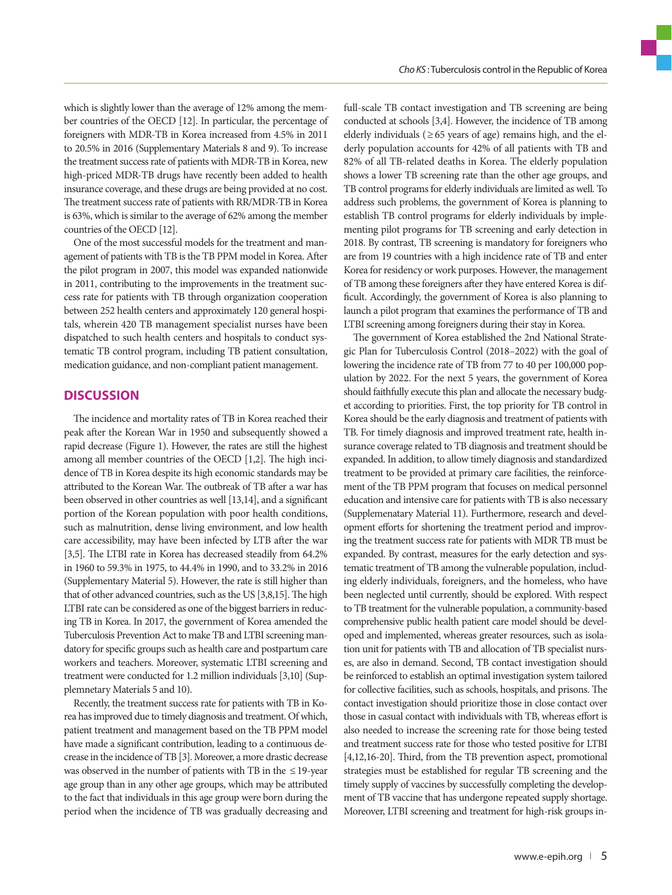which is slightly lower than the average of 12% among the member countries of the OECD [12]. In particular, the percentage of foreigners with MDR-TB in Korea increased from 4.5% in 2011 to 20.5% in 2016 (Supplementary Materials 8 and 9). To increase the treatment success rate of patients with MDR-TB in Korea, new high-priced MDR-TB drugs have recently been added to health insurance coverage, and these drugs are being provided at no cost. The treatment success rate of patients with RR/MDR-TB in Korea is 63%, which is similar to the average of 62% among the member countries of the OECD [12].

One of the most successful models for the treatment and management of patients with TB is the TB PPM model in Korea. After the pilot program in 2007, this model was expanded nationwide in 2011, contributing to the improvements in the treatment success rate for patients with TB through organization cooperation between 252 health centers and approximately 120 general hospitals, wherein 420 TB management specialist nurses have been dispatched to such health centers and hospitals to conduct systematic TB control program, including TB patient consultation, medication guidance, and non-compliant patient management.

## **DISCUSSION**

The incidence and mortality rates of TB in Korea reached their peak after the Korean War in 1950 and subsequently showed a rapid decrease (Figure 1). However, the rates are still the highest among all member countries of the OECD [1,2]. The high incidence of TB in Korea despite its high economic standards may be attributed to the Korean War. The outbreak of TB after a war has been observed in other countries as well [13,14], and a significant portion of the Korean population with poor health conditions, such as malnutrition, dense living environment, and low health care accessibility, may have been infected by LTB after the war [3,5]. The LTBI rate in Korea has decreased steadily from 64.2% in 1960 to 59.3% in 1975, to 44.4% in 1990, and to 33.2% in 2016 (Supplementary Material 5). However, the rate is still higher than that of other advanced countries, such as the US [3,8,15]. The high LTBI rate can be considered as one of the biggest barriers in reducing TB in Korea. In 2017, the government of Korea amended the Tuberculosis Prevention Act to make TB and LTBI screening mandatory for specific groups such as health care and postpartum care workers and teachers. Moreover, systematic LTBI screening and treatment were conducted for 1.2 million individuals [3,10] (Supplemnetary Materials 5 and 10).

Recently, the treatment success rate for patients with TB in Korea has improved due to timely diagnosis and treatment. Of which, patient treatment and management based on the TB PPM model have made a significant contribution, leading to a continuous decrease in the incidence of TB [3]. Moreover, a more drastic decrease was observed in the number of patients with TB in the  $\leq$  19-year age group than in any other age groups, which may be attributed to the fact that individuals in this age group were born during the period when the incidence of TB was gradually decreasing and

full-scale TB contact investigation and TB screening are being conducted at schools [3,4]. However, the incidence of TB among elderly individuals ( $\geq 65$  years of age) remains high, and the elderly population accounts for 42% of all patients with TB and 82% of all TB-related deaths in Korea. The elderly population shows a lower TB screening rate than the other age groups, and TB control programs for elderly individuals are limited as well. To address such problems, the government of Korea is planning to establish TB control programs for elderly individuals by implementing pilot programs for TB screening and early detection in 2018. By contrast, TB screening is mandatory for foreigners who are from 19 countries with a high incidence rate of TB and enter Korea for residency or work purposes. However, the management of TB among these foreigners after they have entered Korea is difficult. Accordingly, the government of Korea is also planning to launch a pilot program that examines the performance of TB and LTBI screening among foreigners during their stay in Korea.

The government of Korea established the 2nd National Strategic Plan for Tuberculosis Control (2018–2022) with the goal of lowering the incidence rate of TB from 77 to 40 per 100,000 population by 2022. For the next 5 years, the government of Korea should faithfully execute this plan and allocate the necessary budget according to priorities. First, the top priority for TB control in Korea should be the early diagnosis and treatment of patients with TB. For timely diagnosis and improved treatment rate, health insurance coverage related to TB diagnosis and treatment should be expanded. In addition, to allow timely diagnosis and standardized treatment to be provided at primary care facilities, the reinforcement of the TB PPM program that focuses on medical personnel education and intensive care for patients with TB is also necessary (Supplemenatary Material 11). Furthermore, research and development efforts for shortening the treatment period and improving the treatment success rate for patients with MDR TB must be expanded. By contrast, measures for the early detection and systematic treatment of TB among the vulnerable population, including elderly individuals, foreigners, and the homeless, who have been neglected until currently, should be explored. With respect to TB treatment for the vulnerable population, a community-based comprehensive public health patient care model should be developed and implemented, whereas greater resources, such as isolation unit for patients with TB and allocation of TB specialist nurses, are also in demand. Second, TB contact investigation should be reinforced to establish an optimal investigation system tailored for collective facilities, such as schools, hospitals, and prisons. The contact investigation should prioritize those in close contact over those in casual contact with individuals with TB, whereas effort is also needed to increase the screening rate for those being tested and treatment success rate for those who tested positive for LTBI [4,12,16-20]. Third, from the TB prevention aspect, promotional strategies must be established for regular TB screening and the timely supply of vaccines by successfully completing the development of TB vaccine that has undergone repeated supply shortage. Moreover, LTBI screening and treatment for high-risk groups in